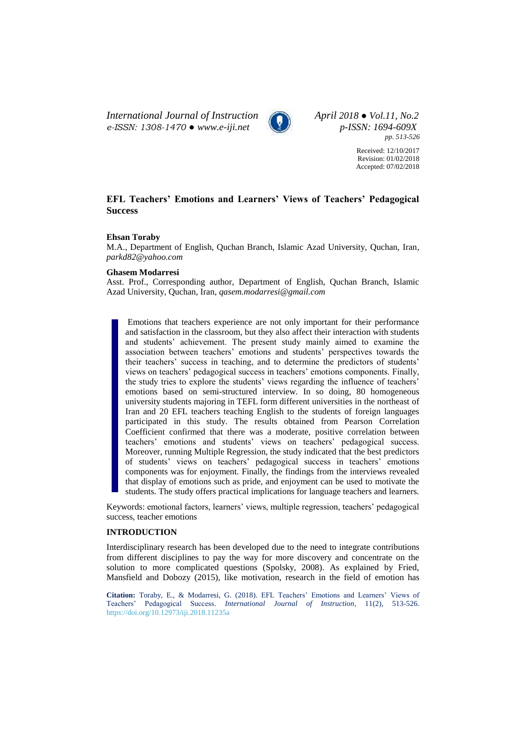*International Journal of Instruction April 2018 ● Vol.11, No.2 e-ISSN: 1308-1470 ● [www.e-iji.net](http://www.e-iji.net/) p-ISSN: 1694-609X*



*pp. 513-526*

Received: 12/10/2017 Revision: 01/02/2018 Accepted: 07/02/2018

# **EFL Teachers' Emotions and Learners' Views of Teachers' Pedagogical Success**

#### **Ehsan Toraby**

M.A., Department of English, Quchan Branch, Islamic Azad University, Quchan, Iran, *parkd82@yahoo.com*

#### **Ghasem Modarresi**

Asst. Prof., Corresponding author, Department of English, Quchan Branch, Islamic Azad University, Quchan, Iran, *qasem.modarresi@gmail.com*

Emotions that teachers experience are not only important for their performance and satisfaction in the classroom, but they also affect their interaction with students and students' achievement. The present study mainly aimed to examine the association between teachers' emotions and students' perspectives towards the their teachers' success in teaching, and to determine the predictors of students' views on teachers' pedagogical success in teachers' emotions components. Finally, the study tries to explore the students' views regarding the influence of teachers' emotions based on semi-structured interview. In so doing, 80 homogeneous university students majoring in TEFL form different universities in the northeast of Iran and 20 EFL teachers teaching English to the students of foreign languages participated in this study. The results obtained from Pearson Correlation Coefficient confirmed that there was a moderate, positive correlation between teachers' emotions and students' views on teachers' pedagogical success. Moreover, running Multiple Regression, the study indicated that the best predictors of students' views on teachers' pedagogical success in teachers' emotions components was for enjoyment. Finally, the findings from the interviews revealed that display of emotions such as pride, and enjoyment can be used to motivate the students. The study offers practical implications for language teachers and learners.

Keywords: emotional factors, learners' views, multiple regression, teachers' pedagogical success, teacher emotions

## **INTRODUCTION**

Interdisciplinary research has been developed due to the need to integrate contributions from different disciplines to pay the way for more discovery and concentrate on the solution to more complicated questions (Spolsky, 2008). As explained by Fried, Mansfield and Dobozy (2015), like motivation, research in the field of emotion has

**Citation:** Toraby, E., & Modarresi, G. (2018). EFL Teachers' Emotions and Learners' Views of Teachers' Pedagogical Success. *International Journal of Instruction*, 11(2), 513-526. <https://doi.org/10.12973/iji.2018.11235a>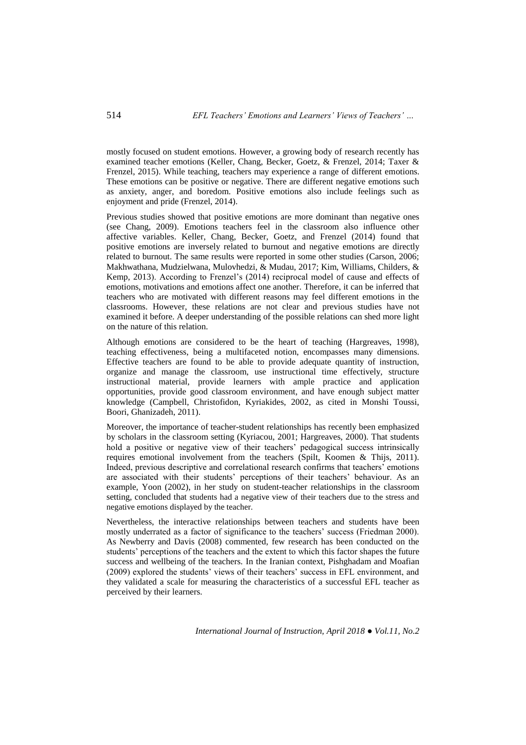mostly focused on student emotions. However, a growing body of research recently has examined teacher emotions (Keller, Chang, Becker, Goetz, & Frenzel, 2014; Taxer & Frenzel, 2015). While teaching, teachers may experience a range of different emotions. These emotions can be positive or negative. There are different negative emotions such as anxiety, anger, and boredom. Positive emotions also include feelings such as enjoyment and pride (Frenzel, 2014).

Previous studies showed that positive emotions are more dominant than negative ones (see Chang, 2009). Emotions teachers feel in the classroom also influence other affective variables. Keller, Chang, Becker, Goetz, and Frenzel (2014) found that positive emotions are inversely related to burnout and negative emotions are directly related to burnout. The same results were reported in some other studies (Carson, 2006; Makhwathana, Mudzielwana, Mulovhedzi, & Mudau, 2017; Kim, Williams, Childers, & Kemp, 2013). According to Frenzel's (2014) reciprocal model of cause and effects of emotions, motivations and emotions affect one another. Therefore, it can be inferred that teachers who are motivated with different reasons may feel different emotions in the classrooms. However, these relations are not clear and previous studies have not examined it before. A deeper understanding of the possible relations can shed more light on the nature of this relation.

Although emotions are considered to be the heart of teaching (Hargreaves, 1998), teaching effectiveness, being a multifaceted notion, encompasses many dimensions. Effective teachers are found to be able to provide adequate quantity of instruction, organize and manage the classroom, use instructional time effectively, structure instructional material, provide learners with ample practice and application opportunities, provide good classroom environment, and have enough subject matter knowledge (Campbell, Christofidon, Kyriakides, 2002, as cited in Monshi Toussi, Boori, Ghanizadeh, 2011).

Moreover, the importance of teacher-student relationships has recently been emphasized by scholars in the classroom setting (Kyriacou, 2001; Hargreaves, 2000). That students hold a positive or negative view of their teachers' pedagogical success intrinsically requires emotional involvement from the teachers (Spilt, Koomen & Thijs, 2011). Indeed, previous descriptive and correlational research confirms that teachers' emotions are associated with their students' perceptions of their teachers' behaviour. As an example, Yoon (2002), in her study on student-teacher relationships in the classroom setting, concluded that students had a negative view of their teachers due to the stress and negative emotions displayed by the teacher.

Nevertheless, the interactive relationships between teachers and students have been mostly underrated as a factor of significance to the teachers' success (Friedman 2000). As Newberry and Davis (2008) commented, few research has been conducted on the students' perceptions of the teachers and the extent to which this factor shapes the future success and wellbeing of the teachers. In the Iranian context, Pishghadam and Moafian (2009) explored the students' views of their teachers' success in EFL environment, and they validated a scale for measuring the characteristics of a successful EFL teacher as perceived by their learners.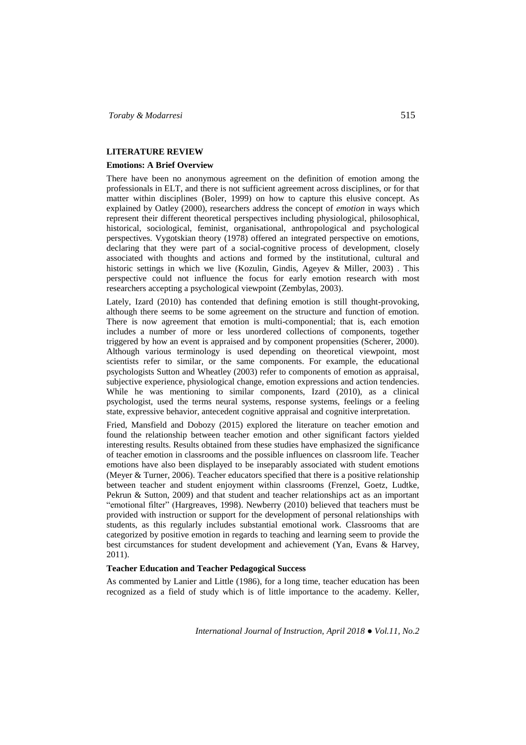# **LITERATURE REVIEW**

#### **Emotions: A Brief Overview**

There have been no anonymous agreement on the definition of emotion among the professionals in ELT, and there is not sufficient agreement across disciplines, or for that matter within disciplines (Boler, 1999) on how to capture this elusive concept. As explained by Oatley (2000), researchers address the concept of *emotion* in ways which represent their different theoretical perspectives including physiological, philosophical, historical, sociological, feminist, organisational, anthropological and psychological perspectives. Vygotskian theory (1978) offered an integrated perspective on emotions, declaring that they were part of a social-cognitive process of development, closely associated with thoughts and actions and formed by the institutional, cultural and historic settings in which we live (Kozulin, Gindis, Ageyev & Miller, 2003) . This perspective could not influence the focus for early emotion research with most researchers accepting a psychological viewpoint (Zembylas, 2003).

Lately, Izard (2010) has contended that defining emotion is still thought-provoking, although there seems to be some agreement on the structure and function of emotion. There is now agreement that emotion is multi-componential; that is, each emotion includes a number of more or less unordered collections of components, together triggered by how an event is appraised and by component propensities (Scherer, 2000). Although various terminology is used depending on theoretical viewpoint, most scientists refer to similar, or the same components. For example, the educational psychologists Sutton and Wheatley (2003) refer to components of emotion as appraisal, subjective experience, physiological change, emotion expressions and action tendencies. While he was mentioning to similar components, Izard (2010), as a clinical psychologist, used the terms neural systems, response systems, feelings or a feeling state, expressive behavior, antecedent cognitive appraisal and cognitive interpretation.

Fried, Mansfield and Dobozy (2015) explored the literature on teacher emotion and found the relationship between teacher emotion and other significant factors yielded interesting results. Results obtained from these studies have emphasized the significance of teacher emotion in classrooms and the possible influences on classroom life. Teacher emotions have also been displayed to be inseparably associated with student emotions (Meyer & Turner, 2006). Teacher educators specified that there is a positive relationship between teacher and student enjoyment within classrooms (Frenzel, Goetz, Ludtke, Pekrun & Sutton, 2009) and that student and teacher relationships act as an important "emotional filter" (Hargreaves, 1998). Newberry (2010) believed that teachers must be provided with instruction or support for the development of personal relationships with students, as this regularly includes substantial emotional work. Classrooms that are categorized by positive emotion in regards to teaching and learning seem to provide the best circumstances for student development and achievement (Yan, Evans & Harvey, 2011).

## **Teacher Education and Teacher Pedagogical Success**

As commented by Lanier and Little (1986), for a long time, teacher education has been recognized as a field of study which is of little importance to the academy. Keller,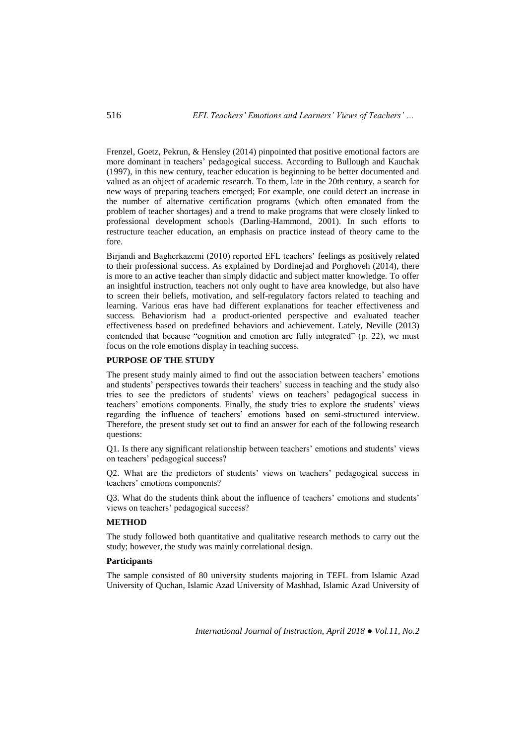Frenzel, Goetz, Pekrun, & Hensley (2014) pinpointed that positive emotional factors are more dominant in teachers' pedagogical success. According to Bullough and Kauchak (1997), in this new century, teacher education is beginning to be better documented and valued as an object of academic research. To them, late in the 20th century, a search for new ways of preparing teachers emerged; For example, one could detect an increase in the number of alternative certification programs (which often emanated from the problem of teacher shortages) and a trend to make programs that were closely linked to professional development schools (Darling-Hammond, 2001). In such efforts to restructure teacher education, an emphasis on practice instead of theory came to the fore.

Birjandi and Bagherkazemi (2010) reported EFL teachers' feelings as positively related to their professional success. As explained by Dordinejad and Porghoveh (2014), there is more to an active teacher than simply didactic and subject matter knowledge. To offer an insightful instruction, teachers not only ought to have area knowledge, but also have to screen their beliefs, motivation, and self-regulatory factors related to teaching and learning. Various eras have had different explanations for teacher effectiveness and success. Behaviorism had a product-oriented perspective and evaluated teacher effectiveness based on predefined behaviors and achievement. Lately, Neville (2013) contended that because "cognition and emotion are fully integrated" (p. 22), we must focus on the role emotions display in teaching success.

## **PURPOSE OF THE STUDY**

The present study mainly aimed to find out the association between teachers' emotions and students' perspectives towards their teachers' success in teaching and the study also tries to see the predictors of students' views on teachers' pedagogical success in teachers' emotions components. Finally, the study tries to explore the students' views regarding the influence of teachers' emotions based on semi-structured interview. Therefore, the present study set out to find an answer for each of the following research questions:

Q1. Is there any significant relationship between teachers' emotions and students' views on teachers' pedagogical success?

Q2. What are the predictors of students' views on teachers' pedagogical success in teachers' emotions components?

Q3. What do the students think about the influence of teachers' emotions and students' views on teachers' pedagogical success?

## **METHOD**

The study followed both quantitative and qualitative research methods to carry out the study; however, the study was mainly correlational design.

## **Participants**

The sample consisted of 80 university students majoring in TEFL from Islamic Azad University of Quchan, Islamic Azad University of Mashhad, Islamic Azad University of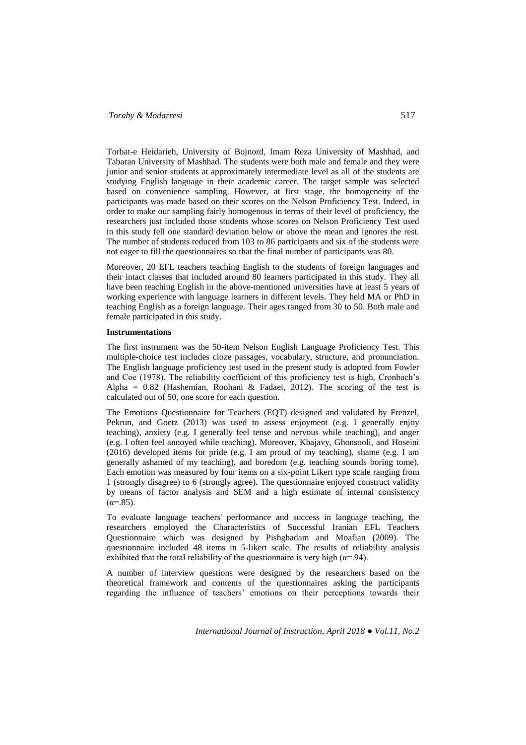# *Toraby & Modarresi* 517

Torbat-e Heidarieh, University of Bojnord, Imam Reza University of Mashhad, and Tabaran University of Mashhad. The students were both male and female and they were junior and senior students at approximately intermediate level as all of the students are studying English language in their academic career. The target sample was selected based on convenience sampling. However, at first stage, the homogeneity of the participants was made based on their scores on the Nelson Proficiency Test. Indeed, in order to make our sampling fairly homogenous in terms of their level of proficiency, the researchers just included those students whose scores on Nelson Proficiency Test used in this study fell one standard deviation below or above the mean and ignores the rest. The number of students reduced from 103 to 86 participants and six of the students were not eager to fill the questionnaires so that the final number of participants was 80.

Moreover, 20 EFL teachers teaching English to the students of foreign languages and their intact classes that included around 80 learners participated in this study. They all have been teaching English in the above-mentioned universities have at least 5 years of working experience with language learners in different levels. They held MA or PhD in teaching English as a foreign language. Their ages ranged from 30 to 50. Both male and female participated in this study.

#### **Instrumentations**

The first instrument was the 50-item Nelson English Language Proficiency Test. This multiple-choice test includes cloze passages, vocabulary, structure, and pronunciation. The English language proficiency test used in the present study is adopted from Fowler and Coe (1978). The reliability coefficient of this proficiency test is high, Cronbach's Alpha = 0.82 (Hashemian, Roohani & Fadaei, 2012). The scoring of the test is calculated out of 50, one score for each question.

The Emotions Questionnaire for Teachers (EQT) designed and validated by Frenzel, Pekrun, and Goetz (2013) was used to assess enjoyment (e.g. I generally enjoy teaching), anxiety (e.g. I generally feel tense and nervous while teaching), and anger (e.g. I often feel annoyed while teaching). Moreover, Khajavy, Ghonsooli, and Hoseini (2016) developed items for pride (e.g. I am proud of my teaching), shame (e.g. I am generally ashamed of my teaching), and boredom (e.g. teaching sounds boring tome). Each emotion was measured by four items on a six-point Likert type scale ranging from 1 (strongly disagree) to 6 (strongly agree). The questionnaire enjoyed construct validity by means of factor analysis and SEM and a high estimate of internal consistency  $(\alpha = 85)$ .

To evaluate language teachers' performance and success in language teaching, the researchers employed the Characteristics of Successful Iranian EFL Teachers Questionnaire which was designed by Pishghadam and Moafian (2009). The questionnaire included 48 items in 5-likert scale. The results of reliability analysis exhibited that the total reliability of the questionnaire is very high ( $\alpha$ =.94).

A number of interview questions were designed by the researchers based on the theoretical framework and contents of the questionnaires asking the participants regarding the influence of teachers' emotions on their perceptions towards their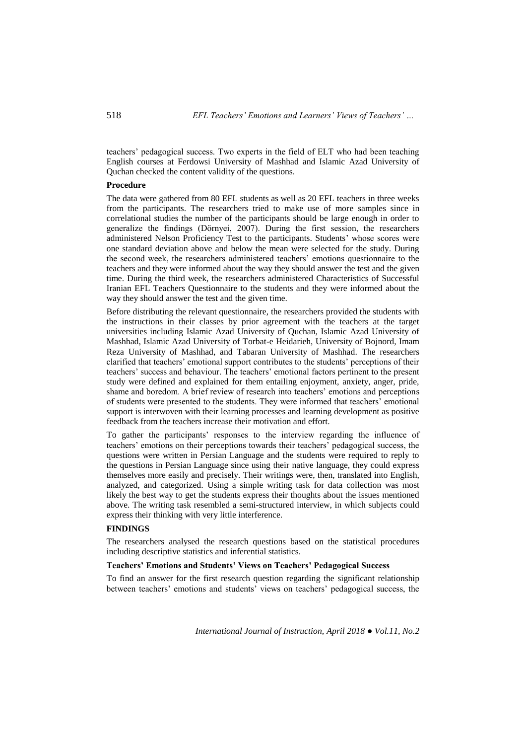teachers' pedagogical success. Two experts in the field of ELT who had been teaching English courses at Ferdowsi University of Mashhad and Islamic Azad University of Quchan checked the content validity of the questions.

#### **Procedure**

The data were gathered from 80 EFL students as well as 20 EFL teachers in three weeks from the participants. The researchers tried to make use of more samples since in correlational studies the number of the participants should be large enough in order to generalize the findings (Dörnyei, 2007). During the first session, the researchers administered Nelson Proficiency Test to the participants. Students' whose scores were one standard deviation above and below the mean were selected for the study. During the second week, the researchers administered teachers' emotions questionnaire to the teachers and they were informed about the way they should answer the test and the given time. During the third week, the researchers administered Characteristics of Successful Iranian EFL Teachers Questionnaire to the students and they were informed about the way they should answer the test and the given time.

Before distributing the relevant questionnaire, the researchers provided the students with the instructions in their classes by prior agreement with the teachers at the target universities including Islamic Azad University of Quchan, Islamic Azad University of Mashhad, Islamic Azad University of Torbat-e Heidarieh, University of Bojnord, Imam Reza University of Mashhad, and Tabaran University of Mashhad. The researchers clarified that teachers' emotional support contributes to the students' perceptions of their teachers' success and behaviour. The teachers' emotional factors pertinent to the present study were defined and explained for them entailing enjoyment, anxiety, anger, pride, shame and boredom. A brief review of research into teachers' emotions and perceptions of students were presented to the students. They were informed that teachers' emotional support is interwoven with their learning processes and learning development as positive feedback from the teachers increase their motivation and effort.

To gather the participants' responses to the interview regarding the influence of teachers' emotions on their perceptions towards their teachers' pedagogical success, the questions were written in Persian Language and the students were required to reply to the questions in Persian Language since using their native language, they could express themselves more easily and precisely. Their writings were, then, translated into English, analyzed, and categorized. Using a simple writing task for data collection was most likely the best way to get the students express their thoughts about the issues mentioned above. The writing task resembled a semi-structured interview, in which subjects could express their thinking with very little interference.

# **FINDINGS**

The researchers analysed the research questions based on the statistical procedures including descriptive statistics and inferential statistics.

# **Teachers' Emotions and Students' Views on Teachers' Pedagogical Success**

To find an answer for the first research question regarding the significant relationship between teachers' emotions and students' views on teachers' pedagogical success, the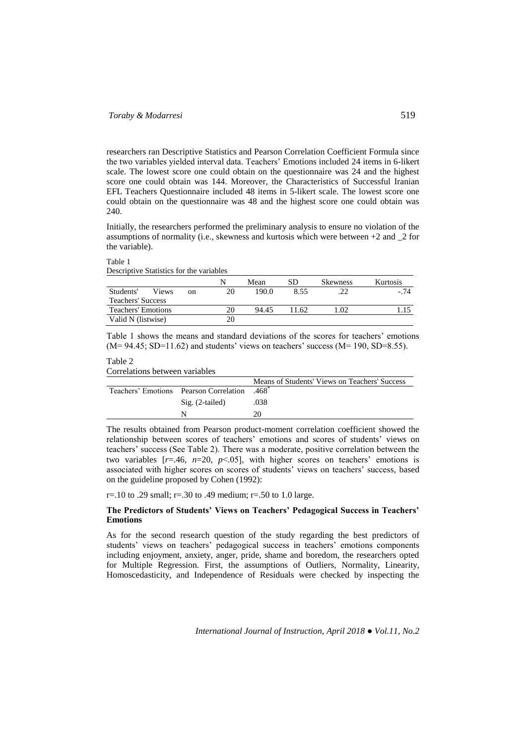researchers ran Descriptive Statistics and Pearson Correlation Coefficient Formula since the two variables yielded interval data. Teachers' Emotions included 24 items in 6-likert scale. The lowest score one could obtain on the questionnaire was 24 and the highest score one could obtain was 144. Moreover, the Characteristics of Successful Iranian EFL Teachers Questionnaire included 48 items in 5-likert scale. The lowest score one could obtain on the questionnaire was 48 and the highest score one could obtain was 240.

Initially, the researchers performed the preliminary analysis to ensure no violation of the assumptions of normality (i.e., skewness and kurtosis which were between +2 and \_2 for the variable).

Table 1

| Descriptive Statistics for the variables |  |  |  |
|------------------------------------------|--|--|--|
|------------------------------------------|--|--|--|

|                           |              |    | N  | Mean  | SD   | <b>Skewness</b> | Kurtosis |
|---------------------------|--------------|----|----|-------|------|-----------------|----------|
| Students'                 | <b>Views</b> | on | 20 | 190.0 | 8.55 |                 | $-74$    |
| <b>Teachers' Success</b>  |              |    |    |       |      |                 |          |
| <b>Teachers' Emotions</b> |              |    | 20 | 94.45 | 1.62 | 1.02            |          |
| Valid N (listwise)        |              |    | 20 |       |      |                 |          |

Table 1 shows the means and standard deviations of the scores for teachers' emotions  $(M= 94.45; SD=11.62)$  and students' views on teachers' success  $(M= 190, SD=8.55)$ .

| Table 2                        |  |
|--------------------------------|--|
| Correlations between variables |  |

|                                        | Means of Students' Views on Teachers' Success |
|----------------------------------------|-----------------------------------------------|
| Teachers' Emotions Pearson Correlation | $-468^*$                                      |
| $Sig. (2-tailed)$                      | .038                                          |
|                                        | ንበ                                            |

The results obtained from Pearson product-moment correlation coefficient showed the relationship between scores of teachers' emotions and scores of students' views on teachers' success (See Table 2). There was a moderate, positive correlation between the two variables  $[r=0.46, n=20, p<0.05]$ , with higher scores on teachers' emotions is associated with higher scores on scores of students' views on teachers' success, based on the guideline proposed by Cohen (1992):

r=.10 to .29 small; r=.30 to .49 medium; r=.50 to 1.0 large.

# **The Predictors of Students' Views on Teachers' Pedagogical Success in Teachers' Emotions**

As for the second research question of the study regarding the best predictors of students' views on teachers' pedagogical success in teachers' emotions components including enjoyment, anxiety, anger, pride, shame and boredom, the researchers opted for Multiple Regression. First, the assumptions of Outliers, Normality, Linearity, Homoscedasticity, and Independence of Residuals were checked by inspecting the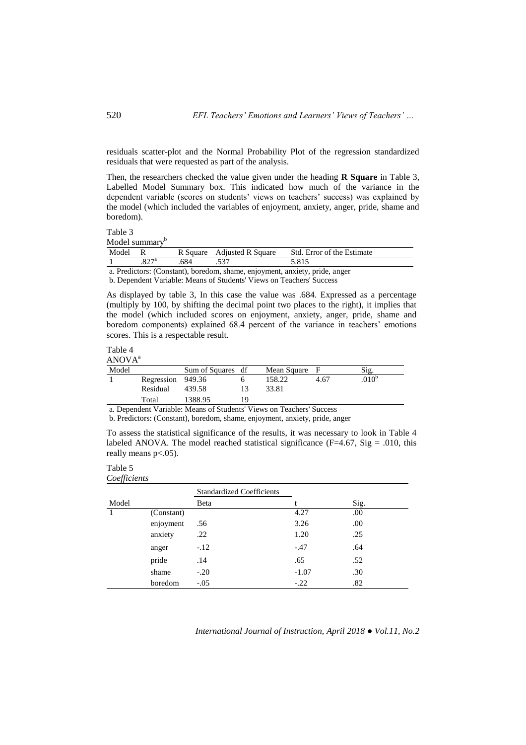residuals scatter-plot and the Normal Probability Plot of the regression standardized residuals that were requested as part of the analysis.

Then, the researchers checked the value given under the heading **R Square** in Table 3, Labelled Model Summary box. This indicated how much of the variance in the dependent variable (scores on students' views on teachers' success) was explained by the model (which included the variables of enjoyment, anxiety, anger, pride, shame and boredom).

Table 3

Model summary<sup>b</sup>

| Model |                 | R Square                                   | <b>Adjusted R Square</b> | Std. Error of the Estimate |
|-------|-----------------|--------------------------------------------|--------------------------|----------------------------|
|       | $Q77$ a<br>ے ہ. | - 84 ن.                                    |                          |                            |
|       |                 | <b>Contract Contract Contract Contract</b> |                          |                            |

a. Predictors: (Constant), boredom, shame, enjoyment, anxiety, pride, anger

b. Dependent Variable: Means of Students' Views on Teachers' Success

As displayed by table 3, In this case the value was .684. Expressed as a percentage (multiply by 100, by shifting the decimal point two places to the right), it implies that the model (which included scores on enjoyment, anxiety, anger, pride, shame and boredom components) explained 68.4 percent of the variance in teachers' emotions scores. This is a respectable result.

#### Table 4 ANOVA<sup>a</sup>

| Model |                   | Sum of Squares df |    | Mean Square | - F  | Si <sub>2</sub>  |
|-------|-------------------|-------------------|----|-------------|------|------------------|
|       | Regression 949.36 |                   |    | 158.22      | 4.67 | 010 <sup>b</sup> |
|       | Residual          | 439.58            |    | 33.81       |      |                  |
|       | Total             | 1388.95           | 10 |             |      |                  |

a. Dependent Variable: Means of Students' Views on Teachers' Success

b. Predictors: (Constant), boredom, shame, enjoyment, anxiety, pride, anger

To assess the statistical significance of the results, it was necessary to look in Table 4 labeled ANOVA. The model reached statistical significance ( $F=4.67$ ,  $Sig = .010$ , this really means  $p<.05$ ).

Table 5 *Coefficients*

|       |            | <b>Standardized Coefficients</b> |         |      |
|-------|------------|----------------------------------|---------|------|
| Model |            | Beta                             |         | Sig. |
|       | (Constant) |                                  | 4.27    | .00  |
|       | enjoyment  | .56                              | 3.26    | .00  |
|       | anxiety    | .22                              | 1.20    | .25  |
|       | anger      | $-.12$                           | $-.47$  | .64  |
|       | pride      | .14                              | .65     | .52  |
|       | shame      | $-.20$                           | $-1.07$ | .30  |
|       | boredom    | $-.05$                           | $-.22$  | .82  |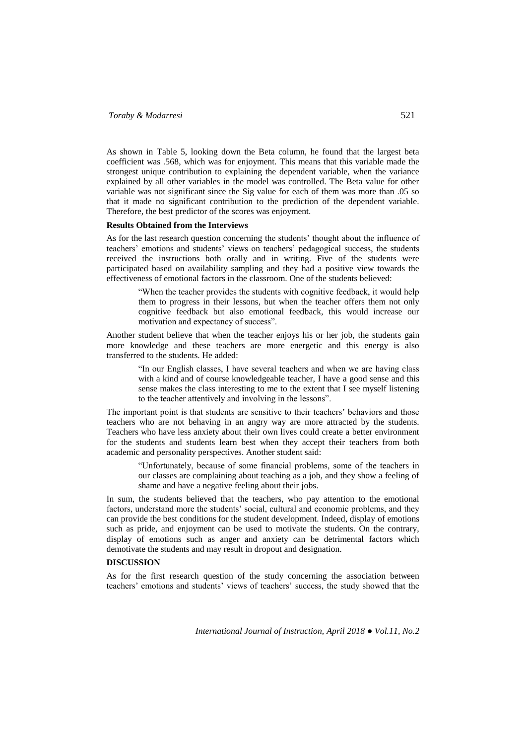As shown in Table 5, looking down the Beta column, he found that the largest beta coefficient was .568, which was for enjoyment. This means that this variable made the strongest unique contribution to explaining the dependent variable, when the variance explained by all other variables in the model was controlled. The Beta value for other variable was not significant since the Sig value for each of them was more than .05 so that it made no significant contribution to the prediction of the dependent variable. Therefore, the best predictor of the scores was enjoyment.

#### **Results Obtained from the Interviews**

As for the last research question concerning the students' thought about the influence of teachers' emotions and students' views on teachers' pedagogical success, the students received the instructions both orally and in writing. Five of the students were participated based on availability sampling and they had a positive view towards the effectiveness of emotional factors in the classroom. One of the students believed:

"When the teacher provides the students with cognitive feedback, it would help them to progress in their lessons, but when the teacher offers them not only cognitive feedback but also emotional feedback, this would increase our motivation and expectancy of success".

Another student believe that when the teacher enjoys his or her job, the students gain more knowledge and these teachers are more energetic and this energy is also transferred to the students. He added:

> "In our English classes, I have several teachers and when we are having class with a kind and of course knowledgeable teacher, I have a good sense and this sense makes the class interesting to me to the extent that I see myself listening to the teacher attentively and involving in the lessons".

The important point is that students are sensitive to their teachers' behaviors and those teachers who are not behaving in an angry way are more attracted by the students. Teachers who have less anxiety about their own lives could create a better environment for the students and students learn best when they accept their teachers from both academic and personality perspectives. Another student said:

"Unfortunately, because of some financial problems, some of the teachers in our classes are complaining about teaching as a job, and they show a feeling of shame and have a negative feeling about their jobs.

In sum, the students believed that the teachers, who pay attention to the emotional factors, understand more the students' social, cultural and economic problems, and they can provide the best conditions for the student development. Indeed, display of emotions such as pride, and enjoyment can be used to motivate the students. On the contrary, display of emotions such as anger and anxiety can be detrimental factors which demotivate the students and may result in dropout and designation.

# **DISCUSSION**

As for the first research question of the study concerning the association between teachers' emotions and students' views of teachers' success, the study showed that the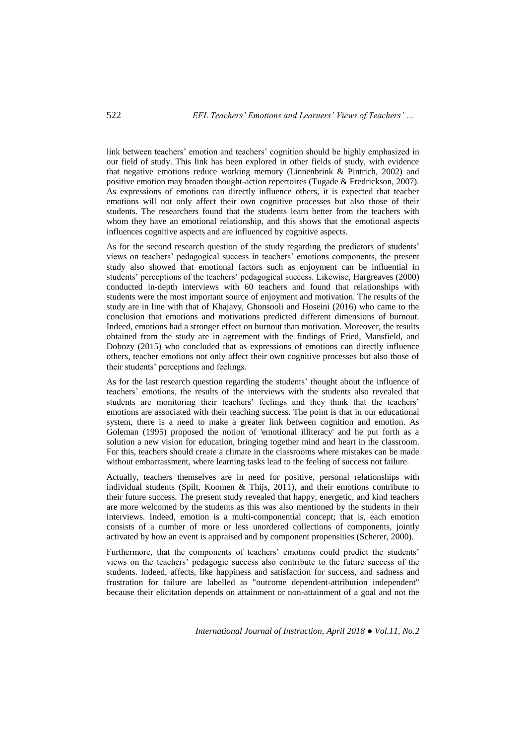link between teachers' emotion and teachers' cognition should be highly emphasized in our field of study. This link has been explored in other fields of study, with evidence that negative emotions reduce working memory (Linnenbrink & Pintrich, 2002) and positive emotion may broaden thought-action repertoires (Tugade & Fredrickson, 2007). As expressions of emotions can directly influence others, it is expected that teacher emotions will not only affect their own cognitive processes but also those of their students. The researchers found that the students learn better from the teachers with whom they have an emotional relationship, and this shows that the emotional aspects influences cognitive aspects and are influenced by cognitive aspects.

As for the second research question of the study regarding the predictors of students' views on teachers' pedagogical success in teachers' emotions components, the present study also showed that emotional factors such as enjoyment can be influential in students' perceptions of the teachers' pedagogical success. Likewise, Hargreaves (2000) conducted in-depth interviews with 60 teachers and found that relationships with students were the most important source of enjoyment and motivation. The results of the study are in line with that of Khajavy, Ghonsooli and Hoseini (2016) who came to the conclusion that emotions and motivations predicted different dimensions of burnout. Indeed, emotions had a stronger effect on burnout than motivation. Moreover, the results obtained from the study are in agreement with the findings of Fried, Mansfield, and Dobozy (2015) who concluded that as expressions of emotions can directly influence others, teacher emotions not only affect their own cognitive processes but also those of their students' perceptions and feelings.

As for the last research question regarding the students' thought about the influence of teachers' emotions, the results of the interviews with the students also revealed that students are monitoring their teachers' feelings and they think that the teachers' emotions are associated with their teaching success. The point is that in our educational system, there is a need to make a greater link between cognition and emotion. As Goleman (1995) proposed the notion of 'emotional illiteracy' and he put forth as a solution a new vision for education, bringing together mind and heart in the classroom. For this, teachers should create a climate in the classrooms where mistakes can be made without embarrassment, where learning tasks lead to the feeling of success not failure.

Actually, teachers themselves are in need for positive, personal relationships with individual students (Spilt, Koomen & Thijs, 2011), and their emotions contribute to their future success. The present study revealed that happy, energetic, and kind teachers are more welcomed by the students as this was also mentioned by the students in their interviews. Indeed, emotion is a multi-componential concept; that is, each emotion consists of a number of more or less unordered collections of components, jointly activated by how an event is appraised and by component propensities (Scherer, 2000).

Furthermore, that the components of teachers' emotions could predict the students' views on the teachers' pedagogic success also contribute to the future success of the students. Indeed, affects, like happiness and satisfaction for success, and sadness and frustration for failure are labelled as "outcome dependent-attribution independent" because their elicitation depends on attainment or non-attainment of a goal and not the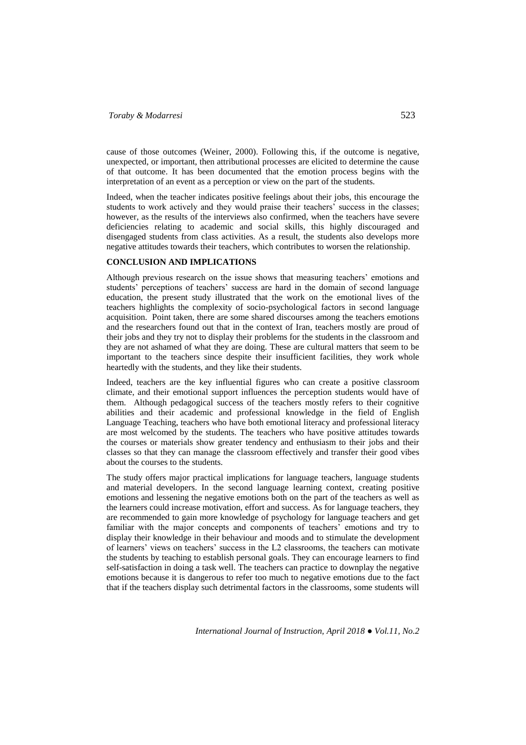cause of those outcomes (Weiner, 2000). Following this, if the outcome is negative, unexpected, or important, then attributional processes are elicited to determine the cause of that outcome. It has been documented that the emotion process begins with the interpretation of an event as a perception or view on the part of the students.

Indeed, when the teacher indicates positive feelings about their jobs, this encourage the students to work actively and they would praise their teachers' success in the classes; however, as the results of the interviews also confirmed, when the teachers have severe deficiencies relating to academic and social skills, this highly discouraged and disengaged students from class activities. As a result, the students also develops more negative attitudes towards their teachers, which contributes to worsen the relationship.

## **CONCLUSION AND IMPLICATIONS**

Although previous research on the issue shows that measuring teachers' emotions and students' perceptions of teachers' success are hard in the domain of second language education, the present study illustrated that the work on the emotional lives of the teachers highlights the complexity of socio-psychological factors in second language acquisition. Point taken, there are some shared discourses among the teachers emotions and the researchers found out that in the context of Iran, teachers mostly are proud of their jobs and they try not to display their problems for the students in the classroom and they are not ashamed of what they are doing. These are cultural matters that seem to be important to the teachers since despite their insufficient facilities, they work whole heartedly with the students, and they like their students.

Indeed, teachers are the key influential figures who can create a positive classroom climate, and their emotional support influences the perception students would have of them. Although pedagogical success of the teachers mostly refers to their cognitive abilities and their academic and professional knowledge in the field of English Language Teaching, teachers who have both emotional literacy and professional literacy are most welcomed by the students. The teachers who have positive attitudes towards the courses or materials show greater tendency and enthusiasm to their jobs and their classes so that they can manage the classroom effectively and transfer their good vibes about the courses to the students.

The study offers major practical implications for language teachers, language students and material developers. In the second language learning context, creating positive emotions and lessening the negative emotions both on the part of the teachers as well as the learners could increase motivation, effort and success. As for language teachers, they are recommended to gain more knowledge of psychology for language teachers and get familiar with the major concepts and components of teachers' emotions and try to display their knowledge in their behaviour and moods and to stimulate the development of learners' views on teachers' success in the L2 classrooms, the teachers can motivate the students by teaching to establish personal goals. They can encourage learners to find self-satisfaction in doing a task well. The teachers can practice to downplay the negative emotions because it is dangerous to refer too much to negative emotions due to the fact that if the teachers display such detrimental factors in the classrooms, some students will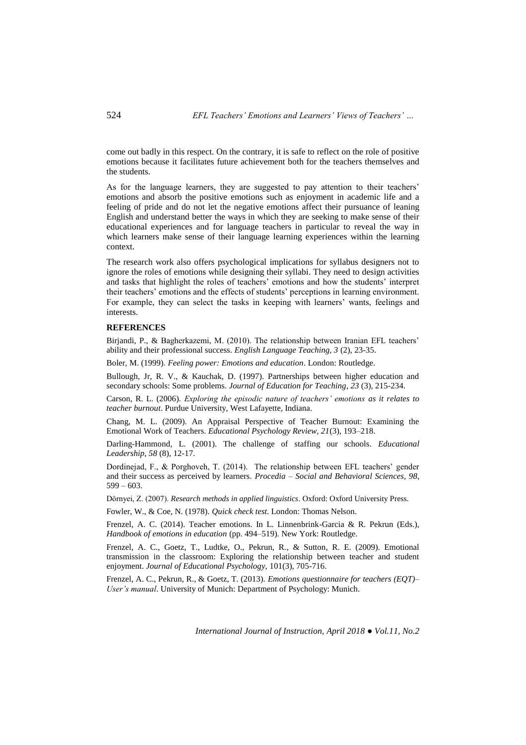come out badly in this respect. On the contrary, it is safe to reflect on the role of positive emotions because it facilitates future achievement both for the teachers themselves and the students.

As for the language learners, they are suggested to pay attention to their teachers' emotions and absorb the positive emotions such as enjoyment in academic life and a feeling of pride and do not let the negative emotions affect their pursuance of leaning English and understand better the ways in which they are seeking to make sense of their educational experiences and for language teachers in particular to reveal the way in which learners make sense of their language learning experiences within the learning context.

The research work also offers psychological implications for syllabus designers not to ignore the roles of emotions while designing their syllabi. They need to design activities and tasks that highlight the roles of teachers' emotions and how the students' interpret their teachers' emotions and the effects of students' perceptions in learning environment. For example, they can select the tasks in keeping with learners' wants, feelings and interests.

#### **REFERENCES**

Birjandi, P., & Bagherkazemi, M. (2010). The relationship between Iranian EFL teachers' ability and their professional success. *English Language Teaching, 3* (2), 23-35.

Boler, M. (1999). *Feeling power: Emotions and education*. London: Routledge.

Bullough, Jr, R. V., & Kauchak, D. (1997). Partnerships between higher education and secondary schools: Some problems. *Journal of Education for Teaching*, *23* (3), 215-234.

Carson, R. L. (2006). *Exploring the episodic nature of teachers' emotions as it relates to teacher burnout*. Purdue University, West Lafayette, Indiana.

Chang, M. L. (2009). An Appraisal Perspective of Teacher Burnout: Examining the Emotional Work of Teachers. *Educational Psychology Review, 21*(3), 193–218.

Darling-Hammond, L. (2001). The challenge of staffing our schools. *Educational Leadership*, *58* (8), 12-17.

Dordinejad, F., & Porghoveh, T. (2014). The relationship between EFL teachers' gender and their success as perceived by learners. *Procedia – Social and Behavioral Sciences, 98*,  $599 - 603$ .

Dörnyei, Z. (2007). *Research methods in applied linguistics*. Oxford: Oxford University Press.

Fowler, W., & Coe, N. (1978). *Quick check test*. London: Thomas Nelson.

Frenzel, A. C. (2014). Teacher emotions. In L. Linnenbrink-Garcia & R. Pekrun (Eds.), *Handbook of emotions in education* (pp. 494–519). New York: Routledge.

Frenzel, A. C., Goetz, T., Ludtke, O., Pekrun, R., & Sutton, R. E. (2009). Emotional transmission in the classroom: Exploring the relationship between teacher and student enjoyment. *Journal of Educational Psychology,* 101(3), 705-716.

Frenzel, A. C., Pekrun, R., & Goetz, T. (2013). *Emotions questionnaire for teachers (EQT)– User's manual*. University of Munich: Department of Psychology: Munich.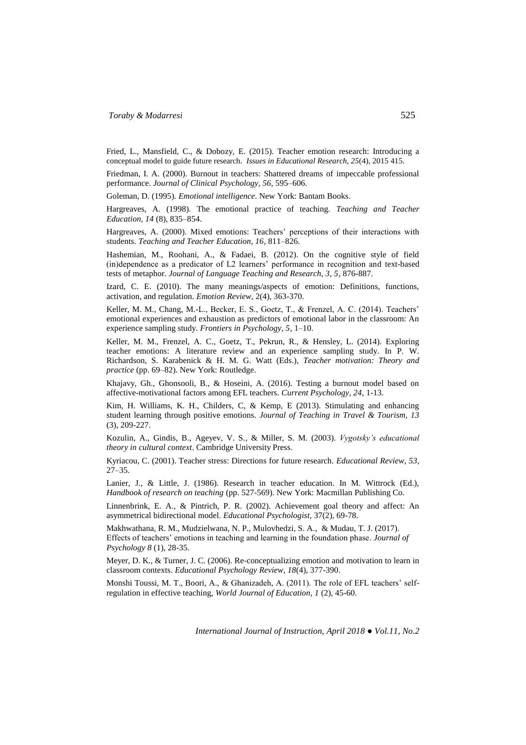Fried, L., Mansfield, C., & Dobozy, E. (2015). Teacher emotion research: Introducing a conceptual model to guide future research. *Issues in Educational Research, 25*(4), 2015 415.

Friedman, I. A. (2000). Burnout in teachers: Shattered dreams of impeccable professional performance. *Journal of Clinical Psychology, 56*, 595–606.

Goleman, D. (1995). *Emotional intelligence*. New York: Bantam Books.

Hargreaves, A. (1998). The emotional practice of teaching. *Teaching and Teacher Education, 14* (8), 835–854.

Hargreaves, A. (2000). Mixed emotions: Teachers' perceptions of their interactions with students. *Teaching and Teacher Education, 16*, 811–826.

Hashemian, M., Roohani, A., & Fadaei, B. (2012). On the cognitive style of field (in)dependence as a predicator of L2 learners' performance in recognition and text-based tests of metaphor. *Journal of Language Teaching and Research, 3, 5*, 876-887.

Izard, C. E. (2010). The many meanings/aspects of emotion: Definitions, functions, activation, and regulation. *Emotion Review,* 2(4), 363-370.

Keller, M. M., Chang, M.-L., Becker, E. S., Goetz, T., & Frenzel, A. C. (2014). Teachers' emotional experiences and exhaustion as predictors of emotional labor in the classroom: An experience sampling study. *Frontiers in Psychology, 5*, 1–10.

Keller, M. M., Frenzel, A. C., Goetz, T., Pekrun, R., & Hensley, L. (2014). Exploring teacher emotions: A literature review and an experience sampling study. In P. W. Richardson, S. Karabenick & H. M. G. Watt (Eds.), *Teacher motivation: Theory and practice* (pp. 69–82). New York: Routledge.

Khajavy, Gh., Ghonsooli, B., & Hoseini, A. (2016). Testing a burnout model based on affective-motivational factors among EFL teachers. *Current Psychology, 24*, 1-13.

Kim, H. Williams, K. H., Childers, C, & Kemp, E (2013). Stimulating and enhancing student learning through positive emotions. *Journal of Teaching in Travel & Tourism, 13* (3), 209-227.

Kozulin, A., Gindis, B., Ageyev, V. S., & Miller, S. M. (2003). *Vygotsky's educational theory in cultural context*. Cambridge University Press.

Kyriacou, C. (2001). Teacher stress: Directions for future research. *Educational Review, 53*, 27–35.

Lanier, J., & Little, J. (1986). Research in teacher education. In M. Wittrock (Ed.), *Handbook of research on teaching* (pp. 527-569). New York: Macmillan Publishing Co.

Linnenbrink, E. A., & Pintrich, P. R. (2002). Achievement goal theory and affect: An asymmetrical bidirectional model. *Educational Psychologist,* 37(2), 69-78.

Makhwathana, R. M., Mudzielwana, N. P., Mulovhedzi, S. A., & Mudau, T. J. (2017). [Effects of teachers' emotions in teaching and learning in the foundation phase.](http://www.tandfonline.com/doi/full/10.1080/09764224.2017.1335677) *[Journal of](http://www.tandfonline.com/toc/rpsc20/8/1)  [Psychology](http://www.tandfonline.com/toc/rpsc20/8/1) 8* (1), 28-35.

Meyer, D. K., & Turner, J. C. (2006). Re-conceptualizing emotion and motivation to learn in classroom contexts. *Educational Psychology Review, 18*(4), 377-390.

Monshi Toussi, M. T., Boori, A., & Ghanizadeh, A. (2011). The role of EFL teachers' selfregulation in effective teaching, *World Journal of Education, 1* (2), 45-60.